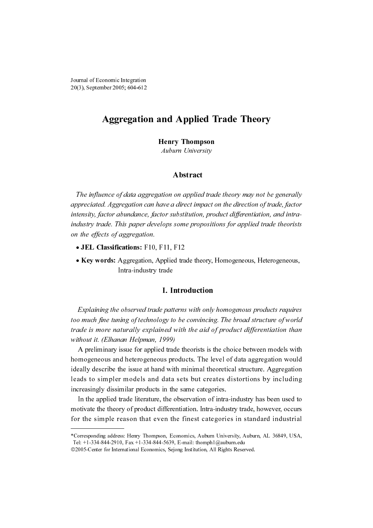Journal of Economic Integration 20(3), September 2005; 604-612

## Aggregation and Applied Trade Theory

# **Henry Thompson**<br>*Auburn University*

### **Abstract**

**Abstract**<br> **Abstract**<br> *tion on applied tre*<br> *tor substitution, pr*<br> *lops some proposi*<br>
<sup>711</sup>, F12<br>
pplied trade theory,<br>
rade<br> **I. Introduction**<br> *r* patterns with only products. The 1<br> *y patterns with only to be con* The influence of data aggregation on applied trade theory may not be generally appreciated. Aggregation can have a direct impact on the direction of trade, factor intensity, factor abundance, factor substitution, product differentiation, and intraindustry trade. This paper develops some propositions for applied trade theorists on the effects of aggregation.

- JEL Classifications: F10, F11, F12
- Key words: Aggregation, Applied trade theory, Homogeneous, Heterogeneous, Intra-industry trade

#### I. Introduction

Explaining the observed trade patterns with only homogenous products requires too much fine tuning of technology to be convincing. The broad structure of world trade is more naturally explained with the aid of product differentiation than without it. (Elhanan Helpman, 1999)

A preliminary issue for applied trade theorists is the choice between models with homogeneous and heterogeneous products. The level of data aggregation would ideally describe the issue at hand with minimal theoretical structure. Aggregation leads to simpler models and data sets but creates distortions by including increasingly dissimilar products in the same categories.

In the applied trade literature, the observation of intra-industry has been used to motivate the theory of product differentiation. Intra-industry trade, however, occurs for the simple reason that even the finest categories in standard industrial

<sup>\*</sup>Corresponding address: Henry Thompson, Economics, Auburn University, Auburn, AL 36849, USA, Tel:  $+1-334-844-2910$ , Fax  $+1-334-844-5639$ , E-mail: thomph1@auburn.edu

<sup>©2005-</sup>Center for International Economics, Sejong Institution, All Rights Reserved.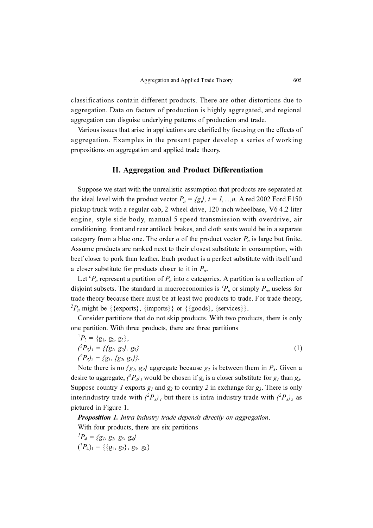classifications contain different products. There are other distortions due to aggregation. Data on factors of production is highly aggregated, and regional aggregation can disguise underlying patterns of production and trade.

Various issues that arise in applications are clarified by focusing on the effects of aggregation. Examples in the present paper develop a series of working propositions on aggregation and applied trade theory.

#### II. Aggregation and Product Differentiation

Suppose we start with the unrealistic assumption that products are separated at the ideal level with the product vector  $P_n = \{g_i\}$ ,  $i = 1,...,n$ . A red 2002 Ford F150 the ideal level with the product vector  $P_n = \{g_j, i = 1,...,n$ . A red 2002 Ford F150 pickup truck with a regular cab, 2-wheel drive, 120 inch wheelbase, V6 4.2 literationing, front and rear antilock brakes, and cloth seats wou pickup truck with a regular cab, 2-wheel drive, 120 inch wheelbase, V6 4.2 liter engine, style side body, manual 5 speed transmission with overdrive, air conditioning, front and rear antilock brakes, and cloth seats would be in a separate category from a blue one. The order *n* of the product vector  $P_n$  is large but finite. Assume products are ranked next to their closest substitute in consumption, with beef closer to pork than leather. Each product is a perfect substitute with itself and a closer substitute for products closer to it in  $P_n$ .

Let  ${}^cP_n$  represent a partition of  $P_n$  into c categories. A partition is a collection of disjoint subsets. The standard in macroeconomics is  ${}^1P_n$  or simply  $P_n$ , useless for trade theory because there must be at least two products to trade. For trade theory,  ${}^{2}P_{n}$  might be {{exports}, {imports}} or {{goods}, {services}}.

Consider partitions that do not skip products. With two products, there is only one partition. With three products, there are three partitions

$$
{}^{1}P_{3} = \{g_{1}, g_{2}, g_{3}\},
$$
  
\n
$$
{}^{2}P_{3}{}^{j}I = \{\{g_{1}, g_{2}\}, g_{3}\}
$$
  
\n
$$
{}^{2}P_{3}{}^{j}I = \{g_{1}, \{g_{2}, g_{3}\}\}.
$$
\n(1)

category from a blue one. The order *n* of the product vector  $P_n$  is large but finite.<br>Assum products are ranked next to their closest substitute in consumption, with<br>beef closer to pork than leahter. Each product is a p a closer substitute for products closer to it in  $P_n$ .<br>Let <sup>*c*</sup> $P_n$  represent a partition of  $P_n$  into *c* catego<br>disjoint subsets. The standard in macroeconomic<br>trade theory because there must be at least two p<br> ${}^2P_n$  *P<sub>n</sub>* represent a partition of *P<sub>n</sub>* into *c* categories. A partition is a collection of subsets. The standard in macroeconomics is  ${}^tP_n$  or simply  $P_n$  useless for ecory because there must be at least two products to  $P_n$  or simply  $P_n$ , useless for<br>ts to trade. For trade theory,<br>rvices}}.<br>two products, there is only<br>itions<br>(1)<br>etween them in  $P_3$ . Given a<br>oser substitute for  $g_1$  than  $g_3$ .<br>change for  $g_3$ . There is only<br>dustry t  $P_n$  might be {{exports}, {imports}} or {{goods}, {services}}.<br>Consider partitions that do not skip products. With two prod<br>ne partition. With three products, there are three partitions<br> ${}^{1}P_3 = \{g_1, g_2, g_3\},$ <br> $({}^{2}P_3$  $P_3 = \{g_1, g_2, g_3\},\n \n^2P_3)_I = \{\{g_1, g_2\},\n \n^2P_3)_2 = \{g_1, \{g_2, g\} \}$ <br>
Note there is no  $\{\}$ <br>
ire to aggregate,  $\ell$ <br>
ppose country  $I$  ex<br>
erindustry trade<br>
tured in Figure 1.<br> *Proposition 1. Intr*<br>
With four prod  $P_3j_1 = \{\{g_1, g_2\}, g_3\}$  (1)<br>  $P_3j_2 = \{g_1, \{g_2, g_3\}\}\$ .<br>
(ote there is no  $\{g_1, g_3\}$  aggregate because  $g_2$  is between them in  $P_3$ . Given a<br>
re to aggregate,  $\langle P_3 \rangle_1$  would be chosen if  $g_2$  is a closer sub  $($   $\uparrow$   $\uparrow$   $\uparrow$   $\downarrow$   $\uparrow$   $\uparrow$   $\downarrow$   $($  $P_3$ )<sub>2</sub> = {g<sub>1</sub>, {g<sub>2</sub>, g<sub>3</sub>}}.<br>
(ote there is no {g<sub>1</sub>, g<br>
re to aggregate,  $(^2P_3)$ )<br>
pose country *l* expor<br>
rindustry trade with<br>
ured in Figure 1.<br> *roposition 1. Intra-in*<br>
(ith four products, the<br>  $P_4 = \{g_1, g_2,$ ( )<br>( ) s ( ) <br>( ) d ( ) <br>( ) d ( ) ( ) d ( ) = ( ) = ( ) = ( ) = ( ) = ( ) = ( ) = ( ) = ( ) = ( ) = ( ) = ( ) = ( ) = ( ) = ( ) = ( ) = ( ) = ( ) = ( ) = ( ) = ( ) = ( ) = ( ) = ( ) = ( ) = ( ) = ( ) = ( ) = ( ) = ( ) = Note there is no  $\{g_1, g_3\}$  aggregate because  $g_2$  is between them in  $P_3$ . Given a Note there is no  ${g_1, g_3}$  aggregate because  $g_2$  is between them in  $P_3$ . Given a<br>sire to aggregate,  $(^2P_3)$ , would be chosen if  $g_2$  is a closer substitute for  $g_1$  than  $g_3$ ,<br>ppose country 1 exports  $g_1$  and desire to aggregate,  $\langle P_3 \rangle$ , would be chosen if  $g_2$  is a closer substitute for  $g_1$  than  $g_3$ . desire to aggregate, (<br>Suppose country *1* e:<br>interindustry trade<br>pictured in Figure 1.<br>**Proposition 1.** Int.<br>With four product<br> ${}^{I}P_{4} = \{g_{1}, g_{2}, g_{3}, \}$ <br> $({}^{3}P_{4})_{1} = \{\{g_{1}, g_{2}\},\}$  $P_{3/1}$  would be chosen if  $g_2$  is a closer substitute for  $g_1$  than  $g_3$ , ports  $g_1$  and  $g_2$  to country 2 in exchange for  $g_3$ . There is only with  $(^2P_3)_1$  but there is intra-industry trade with  $(^2P_3)_2$  as  $a$ Suppose country 1 exports  $g_1$  and  $g_2$  to country 2 in exchange for  $g_3$ . There is only Suppose country 1 exports  $g_1$  and  $g_2$  to country 2 in exchange for  $g_3$ . There is only interindustry trade with  $(^2P_3)_1$  but there is intra-industry trade with  $(^2P_3)_2$  as pictured in Figure 1.<br>**Proposition 1.** Int interindustry trade with (<br>pictured in Figure 1.<br>**Proposition 1.** Intra-indu<br>With four products, there<br> ${}^{1}P_{4} = \{g_1, g_2, g_3, g_4\}$ <br> $({}^{3}P_{4})_1 = \{\{g_1, g_2\}, g_3, g_4\}$  $P_3$ )<sub>1</sub> but there is intra-industry trade with (<br>stry trade depends directly on aggregation.<br>are six partitions  $P_3$ )<sub>2</sub> as  $\langle P_3 \rangle_I$  but there is intra-industry trade with  $\langle \rangle$ pictured in Figure 1.

**Proposition 1.** Intra-industry trade depends directly on aggregation. **Proposition 1.** Intra-industry trade depends directly on aggregation.<br>With four products, there are six partitions<br> ${}^{1}P_{4} = \{g_1, g_2, g_3, g_4\}$ <br> $({}^{3}P_{4})_1 = \{\{g_1, g_2\}, g_3, g_4\}$ 

With four products, there are six partitions  $\mathbf{I}$ 

$$
{}^{1}P_{4} = \{g_{1}, g_{2}, g_{3}, g_{4}\}
$$

$$
({}^{3}P_{4})_{1} = \{\{g_{1}, g_{2}\}, g_{3}, g_{4}\}
$$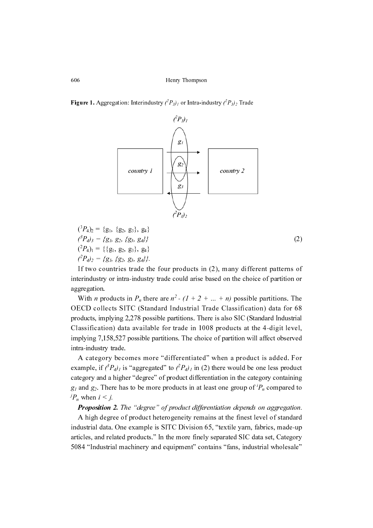${}^{2}P_{3}$ )<sub>1</sub> or Intra-industry ( ${}^{2}P_{3}$ )<sub>2</sub> Trade



 $\binom{3}{1}$  $({}^{3}P_{4})_{3} = \{g_{1}, g_{2}, \{g_{3}, g_{4}\}\}\$  $(^2$  $(^{2}P_{4})_{2} = \{g_{1}, g_{2}, g_{3}, g_{4}\}.$ 

 $(2)$ 

If two countries trade the four products in (2), many different patterns of interindustry or intra-industry trade could arise based on the choice of partition or aggregation.

 $P_4$ )<sub>2</sub> = {g<sub>1</sub>, {g<sub>2</sub>, g<sub>3</sub>}, g<sub>4</sub>}<br>  $P_4$ )<sub>3</sub> = {g<sub>1</sub>, g<sub>2</sub>, {g<sub>3</sub>, g<sub>4</sub>}}<br>  $P_4$ )<sub>1</sub> = {{g<sub>1</sub>, g<sub>2</sub>, g<sub>3</sub>}, g<sub>4</sub>}}<br>  $P_4$ )<sub>2</sub> = {g<sub>1</sub>, {g<sub>2</sub>, g<sub>3</sub>, g<sub>4</sub>}}.<br>
<sup>2</sup> iwo countries trade th<br>
industry or intra-industr<br>
rega  $P_4$ ), = {g<sub>1</sub>, g<sub>3</sub>, {g<sub>3</sub>, g<sub>4</sub>}} (2)<br>  $P_4$ ), = {{g<sub>1</sub>, g<sub>3</sub>, g<sub>4</sub>}, g<sub>4</sub>}<br>  $P_4$ ), = {{g<sub>1</sub>, g<sub>3</sub>, g<sub>4</sub>}, g<sub>4</sub>}<br>  $P_2$  = {{g<sub>1</sub>, g<sub>3</sub>, g<sub>4</sub>}, g<sub>4</sub>}<br>  $P_3$  = {g<sub>1</sub>, g<sub>3</sub>, g<sub>4</sub>}.<br>
Two countries trade the four products ( ) ( ) I is all n a if if  $A$  a is a i  $H$  if is a i  $\mathbb{R}$  $P_4$ <sub>1</sub> = {{g<sub>1</sub>, g<sub>2</sub>, g<sub>3</sub>}, g<sub>4</sub>}<br>  $P_4$ )<sub>2</sub> = {g<sub>1</sub>, {g<sub>2</sub>, g<sub>3</sub>, g<sub>4</sub>}}.<br>
It wo countries trade therm industry or intra-industregation.<br>
Vith *n* products in  $P_n$  then<br>
CD collects SITC (Statentics, implying 2,278 p  $\frac{4}{2}$  and  $\frac{1}{2}$  ( $\frac{1}{3}$ ,  $\frac{1}{62}$ ,  $\frac{1}{63}$ ,  $\frac{1}{63}$ ,  $\frac{1}{63}$ ,  $\frac{1}{63}$ ,  $\frac{1}{63}$ ,  $\frac{1}{63}$ ,  $\frac{1}{63}$ ,  $\frac{1}{63}$ ,  $\frac{1}{63}$ ,  $\frac{1}{63}$ ,  $\frac{1}{63}$ ,  $\frac{1}{63}$  and  $\frac{1}{63}$  and  $\frac{1}{63}$  . I e gu Z n a f r  $A$  a te a  $\bm{H}$   $A$  ii  $\bm{8}$ With *n* products in  $P_n$  there are  $n^2 - (1 + 2 + ... + n)$  possible partitions. The With *n* products in  $P_n$  there are  $n^2 - (1 + 2 + ... + n)$  possible partitions. The<br>
ECD collects SITC (Standard Industrial Trade Classification) data for 68<br>
doducts, implying 2,278 possible partitions. There is also SIC (Stan OECD collects SITC (Standard Industrial Trade Classification) data for 68 products, implying 2,278 possible partitions. There is also SIC (Standard Industrial Classification) data available for trade in 1008 products at the 4-digit level, implying 7,158,527 possible partitions. The choice of partition will affect observed intra-industry trade.

A category becomes more "differentiated" when a product is added. For  $P_4$ , is "aggregated" to  $P_1$ category and a higher "degree" of product differentiation in the category containing  $g_1$  and  $g_2$ . There has to be more products in at least one group of  ${}^iP_n$  compared to  $^{j}P_{n}$  when  $i < j$ .

Proposition 2. The "degree" of product differentiation depends on aggregation.

example, if (<br>category and  $g_i$  and  $g_i$ . Then  $i <$ <br> $P_n$  when  $i <$ <br>**Propositio**<br>A high de industrial data articles, and industrial data articles and industrial data articles.  $P_4$ )<sub>1</sub> is "aggregated" to (<br>a higher "degree" of prod<br>ere has to be more produ<br>*j.*<br>12. The "degree" of pro<br>ree of product heteroge<br>a. One example is SITC<br>elated products." In the r<br>ial machinery and equip  $P_{\psi}$ <sup>1</sup> in (2) there would be one less product<br>uct differentiation in the category containing<br>tts in at least one group of <sup>*i*</sup> $P_n$  compared to<br>the *differentiation depends on aggregation*.<br>eity remains at the finest  $g_1$  and  $g_2$ . There has to be more products in at least one group of <sup>i</sup><br>  $P_n$  when  $i < j$ .<br> **Proposition 2.** The "degree" of product differentiation depends<br>
A high degree of product heterogeneity remains at the finest  $P_n$  compared to<br>*on aggregation*.<br>vel of standard<br>abrics, made-up<br>ta set, Category<br>trial wholesale"  $P_n$  when  $i < j$ .<br>**Proposition** 2<br>A high degree industrial data.<br>articles, and relations 3084 "Industrial" **Proposition 2.** The "degree" of product differentiation depends on aggregation.<br>A high degree of product heterogeneity remains at the finest level of standard<br>dustrial data. One example is SITC Division 65, "textile yarn, A high degree of product heterogeneity remains at the finest level of standard industrial data. One example is SITC Division 65, "textile yarn, fabrics, made-up articles, and related products." In the more finely separated SIC data set, Category 5084 "Industrial machinery and equipment" contains "fans, industrial wholesale"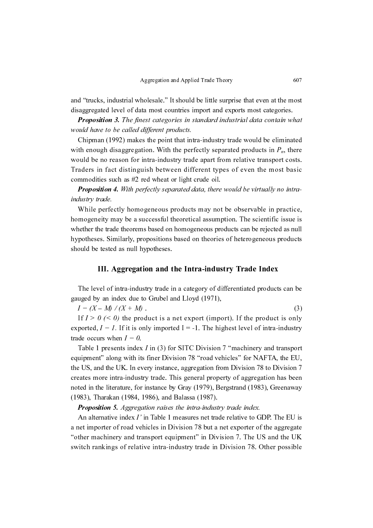and "trucks, industrial wholesale." It should be little surprise that even at the most disaggregated level of data most countries import and exports most categories.

**Proposition 3.** The finest categories in standard industrial data contain what would have to be called different products.

Chipman (1992) makes the point that intra-industry trade would be eliminated with enough disaggregation. With the perfectly separated products in  $P_n$ , there would be no reason for intra-industry trade apart from relative transport costs. Traders in fact distinguish between different types of even the most basic commodities such as #2 red wheat or light crude oil.

**Proposition 4.** With perfectly separated data, there would be virtually no intraindustry trade.

While perfectly homogeneous products may not be observable in practice, homogeneity may be a successful theoretical assumption. The scientific issue is whether the trade theorems based on homogeneous products can be rejected as null hypotheses. Similarly, propositions based on theories of heterogeneous products should be tested as null hypotheses.

#### III. Aggregation and the Intra-industry Trade Index

The level of intra-industry trade in a category of differentiated products can be gauged by an index due to Grubel and Lloyd (1971),

 $I = (X - M) / (X + M)$  (3)

If  $I > 0$  (< 0) the product is a net export (import). If the product is only exported,  $I = I$ . If it is only imported  $I = -1$ . The highest level of intra-industry trade occurs when  $I = 0$ .

Table 1 presents index I in (3) for SITC Division 7 "machinery and transport equipment" along with its finer Division 78 "road vehicles" for NAFTA, the EU, the US, and the UK. In every instance, aggregation from Division 78 to Division 7 creates more intra-industry trade. This general property of aggregation has been noted in the literature, for instance by Gray (1979), Bergstrand (1983), Greenaway (1983), Tharakan (1984, 1986), and Balassa (1987).

Proposition 5. Aggregation raises the intra-industry trade index.

An alternative index I' in Table 1 measures net trade relative to GDP. The EU is a net importer of road vehicles in Division 78 but a net exporter of the aggregate "other machinery and transport equipment" in Division 7. The US and the UK switch rankings of relative intra-industry trade in Division 78. Other possible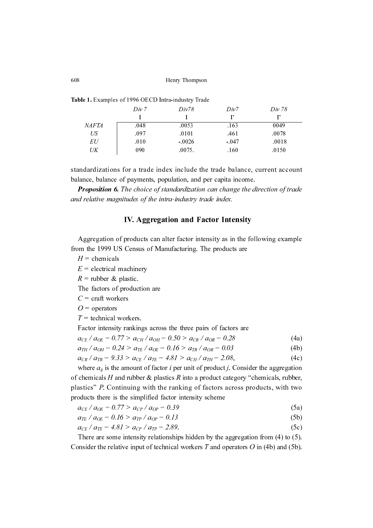608 Henry Thompson

|              | Div 7 | Div78    | Div7     | Div 78 |
|--------------|-------|----------|----------|--------|
|              |       |          |          |        |
| <i>NAFTA</i> | .048  | .0053    | .163     | 0049   |
| US           | .097  | .0101    | .461     | .0078  |
| EU           | .010  | $-0.026$ | $-0.047$ | .0018  |
| UK           | 090   | .0075.   | .160     | .0150  |

Table 1. Examples of 1996 OECD Intra-industry Trade

standardizations for a trade index include the trade balance, current account balance, balance of payments, population, and per capita income.

**Proposition 6.** The choice of standardization can change the direction of trade and relative magnitudes of the intra-industry trade index.

#### IV. Aggregation and Factor Intensity

Aggregation of products can alter factor intensity as in the following example from the 1999 US Census of Manufacturing. The products are

 $H =$ chemicals

 $E =$  electrical machinery

 $R =$  rubber & plastic.

The factors of production are

 $C = \text{craft workers}$ 

$$
O =
$$
 operators

 $T =$  technical workers.

Factor intensity rankings across the three pairs of factors are

 $a_{CE}$  /  $a_{OE}$  = 0.77 >  $a_{CH}$  /  $a_{OH}$  = 0.50 >  $a_{CR}$  /  $a_{OR}$  = 0.28  $(4a)$ 

 $a_{TH}$  /  $a_{OH}$  = 0.24 >  $a_{TE}$  /  $a_{OE}$  = 0.16 >  $a_{TR}$  /  $a_{OR}$  = 0.03  $(4b)$ 

$$
a_{CR} / a_{TR} = 9.33 > a_{CE} / a_{TE} = 4.81 > a_{CH} / a_{TH} = 2.08,
$$
 (4c)

**Proposition 6.** The Choice of standardization can change the direction of prior<br>
d relative magnitudes of the intra-industry trade index<br> **IV. Aggregation and Factor Intensity**<br>
Aggregation of products can alter factor i **IV. Aggregation and Factor International Factor in the 1999 US Census of Manufacturing. The product H – chemicals of Sensus of Manufacturing. The product H – electrical machinery**  $R$  **= ubber & plastic. The factors of pro** *H* = chemicals<br> *E* = electrical 1<br> *R* = rubber &<br>
The factors of<br> *C* = craft work<br> *O* = operators<br> *T* = technical 1<br>
Factor intensity<br> *a*<sub>CE</sub> / *a*<sub>OE</sub> = 0.7<br> *a*<sub>CR</sub> / *a*<sub>TR</sub> = 9.3<br>
where  $a_{ij}$  is the<br>
chemicals E = electrical machinery<br>
R = rubber & plastic.<br>
The factors of production<br>
C = craft workers<br>
O = operators<br>
T = technical workers.<br>
Factor intensity rankings<br>  $a_{CE} / a_{OE} = 0.77 > a_{CH} / a_{TH} / a_{OH} = 0.24 > a_{TE} / a_{CR} / a_{TR} = 9.33 > a$ R = rubber & plastic.<br>The factors of produc<br>C = craft workers<br>O = operators<br>T = technical workers<br>Factor intensity ranki<br> $a_{CE} / a_{OE} = 0.77 > a_G$ <br> $a_{TH} / a_{OH} = 0.24 > a_G$ <br> $a_{CH} / a_{TR} = 9.33 > a_G$ <br>where  $a_{ij}$  is the amour<br>chemicals H C = craft workers<br>
O = operators<br>
T = technical wor<br>
Factor intensity ra<br>  $a_{CE}$  /  $a_{OE}$  = 0.77 ><br>  $a_{TH}$  /  $a_{OH}$  = 0.24 ><br>  $a_{CR}$  /  $a_{TR}$  = 9.33 ><br>
where  $a_{ij}$  is the am<br>
chemicals H and 1<br>
astics" P. Continu<br>
oducts O = operators<br>
T = technical<br>
Factor intensit<br>
Factor intensit<br>  $a_{CE} / a_{OE} = 0$ .<br>  $a_{TH} / a_{OH} = 0$ .<br>
where  $a_{ij}$  is the<br>
chemicals H a<br>
chemicals H a<br>
astics" P. Cor<br>
oducts there is<br>  $a_{CE} / a_{OE} = 0$ .<br>  $a_{TE} / a_{OE} = 4$ .<br>
There T = technical workers.<br>Factor intensity ranking<br> $a_{CE} / a_{OE} = 0.77 > a_{CH}$ <br> $a_{TH} / a_{OH} = 0.24 > a_{TE}$ <br> $a_{CR} / a_{TR} = 9.33 > a_{CE}$ <br>where  $a_{ij}$  is the amount<br>chemicals H and rubbe.<br>satics" P. Continuing<br>oducts there is the simp<br> $a_{CE} / a$  $a_{CE}$  /  $a_{OB} = 0.77 > a_{CH}$  /  $a_{OH} = 0.50 > a_{CR}$  /  $a_{OR} = 0.28$  (4a)<br>  $a_{CH}$  /  $a_{OH} = 0.24 > a_{TE}$  /  $a_{OE} = 0.16 > a_{TR}$  /  $a_{OR} = 0.03$  (4b)<br>  $a_{CR}$  /  $a_{TR} = 9.33 > a_{CE}$  /  $a_{TE} = 4.81 > a_{CH}$  /  $a_{TH} = 2.08$ , (4c)<br>
where  $a_{ij}$  is  $a_{TH}$  /  $a_{OH} = 0.24 > a_{TE}$  /  $a_{OE} = 0.16 > a_{TR}$  /  $a_{OR} = 0.03$  (4b)<br>  $a_{CR}$  /  $a_{TR} = 9.33 > a_{CE}$  /  $a_{TE} = 4.81 > a_{CH}$  /  $a_{TH} = 2.08$ , (4c)<br>
where  $a_{ij}$  is the amount of factor *i* per unit of product *j*. Consider the aggre  $a_{CR} / a_{TR} = 9.33 > a_{CE} / a_{TE} = 4.81 > a_{CH} / a_{TH} = 2.08$ , (4c)<br>where  $a_{ij}$  is the amount of factor *i* per unit of product *j*. Consider the aggregation<br>chemicals *H* and rubber & plastics *R* into a product category "chemicals where  $a_{ij}$  is the amount of factor *i* per unit of product *j*. Consider the aggregation where  $a_{ij}$  is the amount of factor *i* per unit of product *j*. Consider the aggregation chemicals *H* and rubber & plastics *R* into a product category "chemicals, rubber, astics" *P*. Continuing with the ranking of fa of chemicals  $H$  and rubber  $\&$  plastics  $R$  into a product category "chemicals, rubber, of chemicals H and rubber & plastics R into a product category "chemicals, rubber,<br>plastics" P. Continuing with the ranking of factors across products, with two<br>products there is the simplified factor intensity scheme<br> $a_{$ plastics" P. Continuing with the ranking of factors across products, with two products there is the simplified factor intensity scheme

$$
a_{CE} / a_{OE} = 0.77 > a_{CP} / a_{OP} = 0.39
$$
 (5a)

$$
a_{TE} / a_{OE} = 0.16 > a_{TP} / a_{OP} = 0.13
$$
 (5b)

$$
a_{CE} / a_{TE} = 4.81 > a_{CP} / a_{TP} = 2.89.
$$
 (5c)

plastics" *P*. Continuing with the ranking of factors across products, with two<br>products there is the simplified factor intensity scheme<br> $a_{CE} / a_{OE} = 0.77 > a_{CP} / a_{OP} = 0.39$  (5a)<br> $a_{TE} / a_{OE} = 0.16 > a_{TP} / a_{OP} = 0.13$  (5b)<br> $a_{CE} /$  $a_{CE} / a_{OE} = 0.77 > a_{CP} / a_{OP} = 0.39$  (5a)<br>  $a_{TE} / a_{OE} = 0.16 > a_{TP} / a_{OP} = 0.13$  (5b)<br>  $a_{CE} / a_{TE} = 4.81 > a_{CP} / a_{TP} = 2.89$ . (5c)<br>
There are some intensity relationships hidden by the aggregation from (4) to (5).<br>
msider the relati  $a_{TE}$  /  $a_{OE} = 0.16 > a_{TP}$  /  $a_{OP} = 0.13$  (5b)<br>  $a_{CE}$  /  $a_{TE} = 4.81 > a_{CP}$  /  $a_{TP} = 2.89$ . (5c)<br>
There are some intensity relationships hidden by the aggregation from (4) to (5).<br>
onsider the relative input of technical w  $a_{CE}$  /  $a_{TE}$  = 4.81 >  $a_{CP}$  /  $a_{TP}$  = 2.89. (5c)<br>There are some intensity relationships hidden by the aggregation from (4) to (5).<br>onsider the relative input of technical workers *T* and operators *O* in (4b) and (5b There are some intensity relationships hidden by the aggregation from (4) to (5). Consider the relative input of technical workers T and operators  $O$  in (4b) and (5b). Consider the relative input of technical workers  $T$  and operators  $O$  in (4b) and (5b).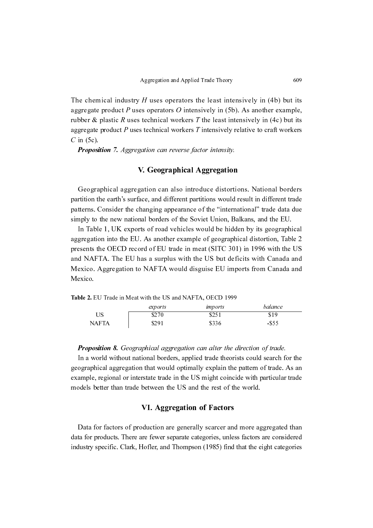The chemical industry  $H$  uses operators the least intensively in (4b) but its aggregate product P uses operators O intensively in  $(5b)$ . As another example, rubber & plastic R uses technical workers T the least intensively in (4c) but its aggregate product  $P$  uses technical workers  $T$  intensively relative to craft workers  $C$  in (5c).

**Proposition** 7. Aggregation can reverse factor intensity.

#### V. Geographical Aggregation

Geographical aggregation can also introduce distortions. National borders partition the earth's surface, and different partitions would result in different trade patterns. Consider the changing appearance of the "international" trade data due simply to the new national borders of the Soviet Union, Balkans, and the EU.

In Table 1, UK exports of road vehicles would be hidden by its geographical aggregation into the EU. As another example of geographical distortion, Table 2 presents the OECD record of EU trade in meat (SITC 301) in 1996 with the US and NAFTA. The EU has a surplus with the US but deficits with Canada and Mexico. Aggregation to NAFTA would disguise EU imports from Canada and Mexico.

|              | exports | imports | balance |
|--------------|---------|---------|---------|
| US           | \$270   | \$251   | \$19    |
| <b>NAFTA</b> | \$291   | \$336   | -\$55   |

#### **Proposition 8.** Geographical aggregation can alter the direction of trade.

In a world without national borders, applied trade theorists could search for the geographical aggregation that would optimally explain the pattern of trade. As an example, regional or interstate trade in the US might coincide with particular trade models better than trade between the US and the rest of the world. The EV TRANSPORTED THE EVALUATION CONTINUITY CONTINUITY CONTINUITY SECTION SECTION SECTION SECTION STRANS SECTION STRANS SECTION SUPPOSITION 8. Geographical aggregation can alter the c In a world without national borders, AFTA <br>
S291 \$336 5555<br>
S291 \$336 5555<br>
S291 \$336 5555<br>
S291 \$336 5555<br>
S291 \$336 5555<br>
S291 \$336 5555<br>
S291 \$336<br>
S291 \$336<br>
S291 \$336<br>
S291 \$336<br>
or s555<br>
or or detection of trade or detection of trade in the US might coi **Solution 8.** Geographical aggregation can alter the direction of traction of the world without national borders, applied trade theorists could searc phical aggregation that would optimally explain the pattern of trad le,

#### VI. Aggregation of Factors

Data for factors of production are generally scarcer and more aggregated than data for products. There are fewer separate categories, unless factors are considered industry specific. Clark, Hofler, and Thompson (1985) find that the eight categories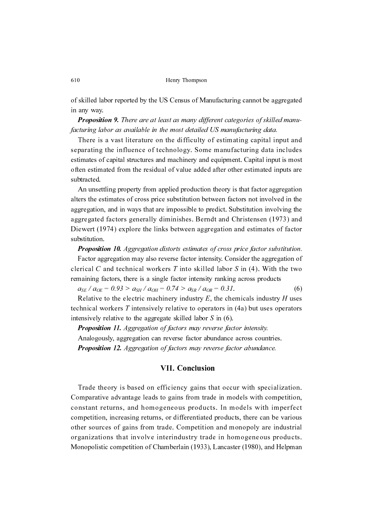of skilled labor reported by the US Census of Manufacturing cannot be aggregated in any way.

Proposition 9. There are at least as many different categories of skilled manufacturing labor as available in the most detailed US manufacturing data.

There is a vast literature on the difficulty of estimating capital input and separating the influence of technology. Some manufacturing data includes estimates of capital structures and machinery and equipment. Capital input is most often estimated from the residual of value added after other estimated inputs are subtracted.

An unsettling property from applied production theory is that factor aggregation alters the estimates of cross price substitution between factors not involved in the aggregation, and in ways that are impossible to predict. Substitution involving the aggregated factors generally diminishes. Berndt and Christensen (1973) and Diewert (1974) explore the links between aggregation and estimates of factor substitution.

Proposition 10. Aggregation distorts estimates of cross price factor substitution.

Factor aggregation may also reverse factor intensity. Consider the aggregation of clerical C and technical workers T into skilled labor S in  $(4)$ . With the two remaining factors, there is a single factor intensity ranking across products

 $a_{SE}$  /  $a_{OE}$  = 0.93 >  $a_{SH}$  /  $a_{OH}$  = 0.74 >  $a_{SR}$  /  $a_{OR}$  = 0.31. (6)

Relative to the electric machinery industry  $E$ , the chemicals industry  $H$  uses technical workers T intensively relative to operators in (4a) but uses operators intensively relative to the aggregate skilled labor S in (6).

Proposition 11. Aggregation of factors may reverse factor intensity.

Analogously, aggregation can reverse factor abundance across countries. Proposition 12. Aggregation of factors may reverse factor abundance.

Trade theory is based on efficiency gains that occur with specialization. Comparative advantage leads to gains from trade in models with competition, constant returns, and homogeneous products. In models with imperfect competition, increasing returns, or differentiated products, there can be various other sources of gains from trade. Competition and monopoly are industrial organizations that involve interindustry trade in homogeneous products. Monopolistic competition of Chamberlain (1933), Lancaster (1980), and Helpman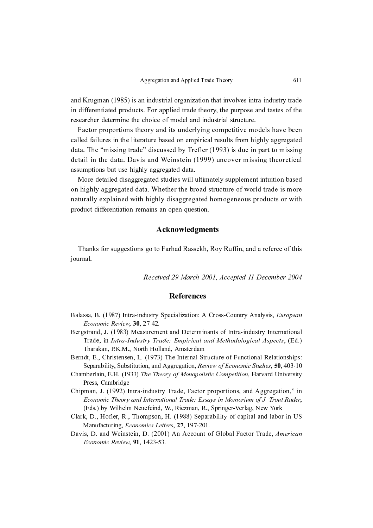and Krugman (1985) is an industrial organization that involves intra-industry trade in differentiated products. For applied trade theory, the purpose and tastes of the researcher determine the choice of model and industrial structure.

in differentiated products. For applied trade theory, the purpose and tastes of the Fascicarchel decreasement of model and molestical structure. Dealth and the sector proportions theory and its underlying competitive mode researcher determine the choice of model and industrial structure.<br>
In factor proportions theory and its underlying competitive models have been<br>
reacted profit in the differentiate theory, the simple proportion match the Factor proportions theory and its underlying competitive more and failures in the literature based by Trefer (1993) is due in<br>detail in the data. The vasis and Weinstein (1999) uncover miss<br>detail in the data. Davis and W Factor proportions theory and its underlying competitive models have been Fact in the linear model of the state of the minimizary and the Minimizary and the Minimizary and the distant Davis and Winterlin (1999) is other in part to missing the control<br>
tail in the duta. Davis and Weinstein (1999 called failures in the literature based on empirical results from highly aggregated data. The "missing trade" discussed by Trefler (1993) is due in part to missing detail in the data. Davis and Weinstein (1999) uncover missing theoretical assumptions but use highly aggregated data.

data. The "missing rade" discussed by Trefler (1993) is due in part to missing<br>electation the data. Davis and Weinstein (1999) uncover missing theoretical<br>alim the data. Davis and Weinstein (1999) uncover missing theoreti detail in the data. Davis and Weinstein (1999) uncover missing theoretical<br>assumptions but use highly aggregated data. Whether the broad structure of world trade is more<br>analysing trade dising gregated data. When the broa More detailed dissurs assumptions but use highly aggregated dota.<br>
More detailed dissurs and ultimately supplement intuition based<br>
on highly aggregated dota. Whether the broad structure of world trade is more<br>
naturally More detailed disaggregated studies will unding the branching and the branching parameters and the branching parameters are the maturally explained with highly disaggregs product differentiation remains an open ques<br> **Ackn** More detailed disaggregated studies will ultimately supplement intuition based More detailed disaggregated disaggregated disaggregated disaggregated homogeneous products or with<br>turally explained with highly disaggregated homogeneous products or with<br>duet differentiation remains an open question.<br>**A** on highly aggregated data. Whether the broad structure of world trade is more naturally explained with highly disaggregated homogeneous products or with product differentiation remains an open question.

#### Acknowledgments

Thanks for suggestions go to Farhad Rassekh, Roy Ruffin, and a referee of this journal.

#### References

- Balassa, B. (1987) Intra-industry Specialization: A Cross-Country Analysis, European Economic Review, 30, 27-42.
- **Acknowledgme**<br> **Acknowledgme**<br>
Thanks for suggestions go to Farhad Rassekh,<br>
journal.<br> *Received 29 March 20*<br> **References**<br>
Balassa, B. (1987) Intra-industry Specialization: A<br> *Economic Review*, **30**, 27-42.<br>
Bergstrand Balassa,<br>Bergstra<br>Tra Tha<br>Berndt, Sep<br>Chambe Pre<br>Chipma *Ecc*<br>(Ed Clark, I Ma<br>Davis, l Bergstrand, J. (1983) Measurement and Determinants of Intra-industry International Trade, in Intra-Industry Trade: Empirical and Methodological Aspects, (Ed.) Tharakan, P.K.M., North Holland, Amsterdam
- Berndt, E., Christensen, L. (1973) The Internal Structure of Functional Relationships: Separability, Substitution, and Aggregation, Review of Economic Studies, 50, 403-10
- Chamberlain, E.H. (1933) The Theory of Monopolistic Competition, Harvard University Press, Cambridge
- maturally explained with highly disaggregated homogeneous products or with<br>product differentiation remains an open question.<br> **Acknowledgments**<br>
Thanks for suggestions go to Farhad Rassekh, Roy Ruffin, and a referee of th product differentiation remains an open question.<br> **Acknowledgments**<br>
1. Thanks for suggestions go to Farhad Rassekh, Roy Ruffin, and a referee of this<br>
journal.<br> *Received 29 March 2001, Accepted 11 December 2004*<br> **Refe Thanks for supplementary** Received 29 March 2001, Accepted 11 December 2004<br> **References**<br>
Issaa, B. (1987) Intra-industry Specialization: A Cross-Country Analysis, *European*<br> *Economic Review*, 30, 27-42.<br>
Trade, in *I* References<br>
Hustry Specialization: A Cross-Country Analysis, *European*<br>
27-42.<br>
surement and Determinants of Intra-industry International<br>
try Trade: *Empirical and Methodological Aspects*, (Ed.)<br>
h Holland, Amsterdam<br>
(1 Chipman, J. (1992) Intra-industry Trade, Factor proportions, and Aggregation," in Economic Theory and International Trade: Essays in Momorium of J. Trout Rader, (Eds.) by Wilhelm Neuefeind, W., Riezman, R., Springer-Verlag, New York
- Clark, D., Hofler, R., Thompson, H. (1988) Separability of capital and labor in US Manufacturing, Economics Letters, 27, 197-201.
- Davis, D. and Weinstein, D. (2001) An Account of Global Factor Trade, American Economic Review, 91, 1423-53.